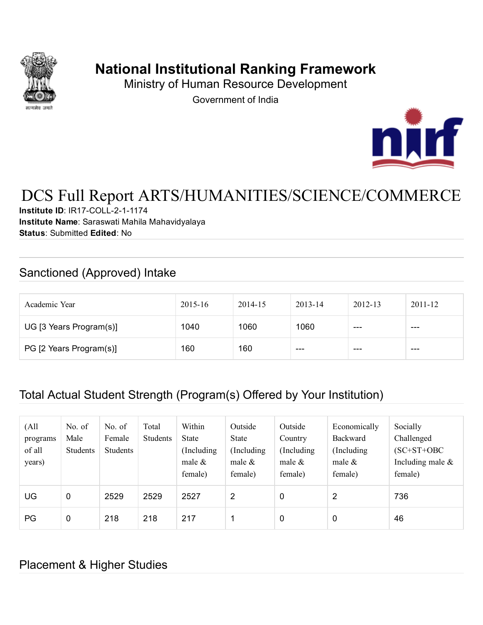

# National Institutional Ranking Framework

Ministry of Human Resource Development

Government of India



# DCS Full Report ARTS/HUMANITIES/SCIENCE/COMMERCE

Institute ID: IR17-COLL-2-1-1174 Institute Name: Saraswati Mahila Mahavidyalaya Status: Submitted Edited: No

## Sanctioned (Approved) Intake

| Academic Year           | $2015 - 16$ | 2014-15 | $2013 - 14$ | $2012 - 13$ | $2011 - 12$ |
|-------------------------|-------------|---------|-------------|-------------|-------------|
| UG [3 Years Program(s)] | 1040        | 1060    | 1060        | $- - -$     | $- - -$     |
| PG [2 Years Program(s)] | 160         | 160     | $- - -$     | ---         | $- - -$     |

## Total Actual Student Strength (Program(s) Offered by Your Institution)

| (All<br>programs<br>of all<br>years) | No. of<br>Male<br>Students | No. of<br>Female<br><b>Students</b> | Total<br><b>Students</b> | Within<br><b>State</b><br>(Including)<br>male $\&$<br>female) | Outside<br><b>State</b><br>Including<br>male $\&$<br>female) | Outside<br>Country<br>(Including)<br>male $\&$<br>female) | Economically<br>Backward<br>(Including)<br>male $\&$<br>female) | Socially<br>Challenged<br>$(SC+ST+OBC$<br>Including male $\&$<br>female) |
|--------------------------------------|----------------------------|-------------------------------------|--------------------------|---------------------------------------------------------------|--------------------------------------------------------------|-----------------------------------------------------------|-----------------------------------------------------------------|--------------------------------------------------------------------------|
| UG                                   | $\mathbf 0$                | 2529                                | 2529                     | 2527                                                          | 2                                                            | $\mathbf 0$                                               | 2                                                               | 736                                                                      |
| PG                                   | 0                          | 218                                 | 218                      | 217                                                           | 1                                                            | $\mathbf 0$                                               | $\mathbf 0$                                                     | 46                                                                       |

#### Placement & Higher Studies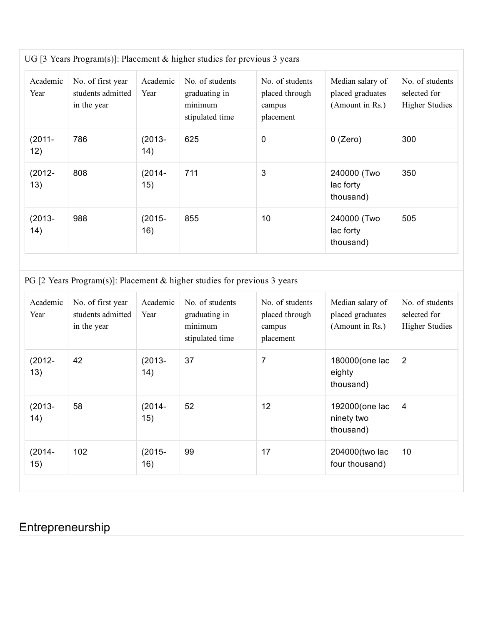| Academic<br>Year  | No. of first year<br>students admitted<br>in the year | Academic<br>Year | No. of students<br>graduating in<br>minimum<br>stipulated time | No. of students<br>placed through<br>campus<br>placement | Median salary of<br>placed graduates<br>(Amount in Rs.) | No. of students<br>selected for<br><b>Higher Studies</b> |
|-------------------|-------------------------------------------------------|------------------|----------------------------------------------------------------|----------------------------------------------------------|---------------------------------------------------------|----------------------------------------------------------|
| $(2011 -$<br>12)  | 786                                                   | $(2013 -$<br>14) | 625                                                            | $\pmb{0}$                                                | $0$ (Zero)                                              | 300                                                      |
| $(2012 -$<br>13)  | 808                                                   | $(2014 -$<br>15) | 711                                                            | 3                                                        | 240000 (Two<br>lac forty<br>thousand)                   | 350                                                      |
| $(2013 -$<br>(14) | 988                                                   | $(2015 -$<br>16) | 855                                                            | 10                                                       | 240000 (Two<br>lac forty<br>thousand)                   | 505                                                      |

PG [2 Years Program(s)]: Placement & higher studies for previous 3 years

| Academic<br>Year | No. of first year<br>students admitted<br>in the year | Academic<br>Year | No. of students<br>graduating in<br>minimum<br>stipulated time | No. of students<br>placed through<br>campus<br>placement | Median salary of<br>placed graduates<br>(Amount in Rs.) | No. of students<br>selected for<br><b>Higher Studies</b> |
|------------------|-------------------------------------------------------|------------------|----------------------------------------------------------------|----------------------------------------------------------|---------------------------------------------------------|----------------------------------------------------------|
| $(2012 -$<br>13) | 42                                                    | $(2013 -$<br>14) | 37                                                             | 7                                                        | 180000(one lac<br>eighty<br>thousand)                   | 2                                                        |
| $(2013 -$<br>14) | 58                                                    | $(2014 -$<br>15) | 52                                                             | 12                                                       | 192000 (one lac<br>ninety two<br>thousand)              | 4                                                        |
| $(2014 -$<br>15) | 102                                                   | $(2015 -$<br>16) | 99                                                             | 17                                                       | 204000(two lac<br>four thousand)                        | 10                                                       |

# Entrepreneurship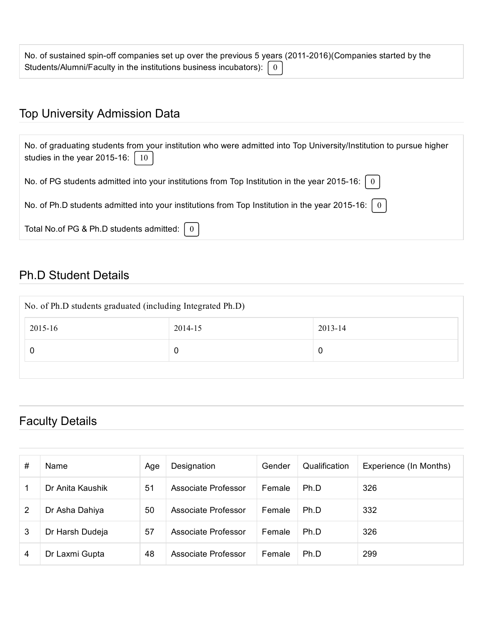| No. of sustained spin-off companies set up over the previous 5 years (2011-2016) (Companies started by the |  |
|------------------------------------------------------------------------------------------------------------|--|
| Students/Alumni/Faculty in the institutions business incubators): $\begin{bmatrix} 0 \end{bmatrix}$        |  |

# Top University Admission Data

| No. of graduating students from your institution who were admitted into Top University/Institution to pursue higher<br>studies in the year 2015-16: $\left[ 10 \right]$ |
|-------------------------------------------------------------------------------------------------------------------------------------------------------------------------|
| No. of PG students admitted into your institutions from Top Institution in the year 2015-16: $\mid 0 \mid$                                                              |
| No. of Ph.D students admitted into your institutions from Top Institution in the year 2015-16: $\mid 0 \mid$                                                            |
| Total No.of PG & Ph.D students admitted: $\begin{bmatrix} 0 \end{bmatrix}$                                                                                              |

## Ph.D Student Details

| No. of Ph.D students graduated (including Integrated Ph.D) |         |         |  |  |  |
|------------------------------------------------------------|---------|---------|--|--|--|
| 2015-16                                                    | 2014-15 | 2013-14 |  |  |  |
|                                                            | 0       | 0       |  |  |  |
|                                                            |         |         |  |  |  |

# Faculty Details

| # | Name             | Age | Designation         | Gender        | Qualification | Experience (In Months) |
|---|------------------|-----|---------------------|---------------|---------------|------------------------|
|   | Dr Anita Kaushik | 51  | Associate Professor | <b>Female</b> | Ph.D          | 326                    |
| 2 | Dr Asha Dahiya   | 50  | Associate Professor | Female        | Ph.D          | 332                    |
| 3 | Dr Harsh Dudeja  | 57  | Associate Professor | <b>Female</b> | Ph.D          | 326                    |
| 4 | Dr Laxmi Gupta   | 48  | Associate Professor | Female        | Ph.D          | 299                    |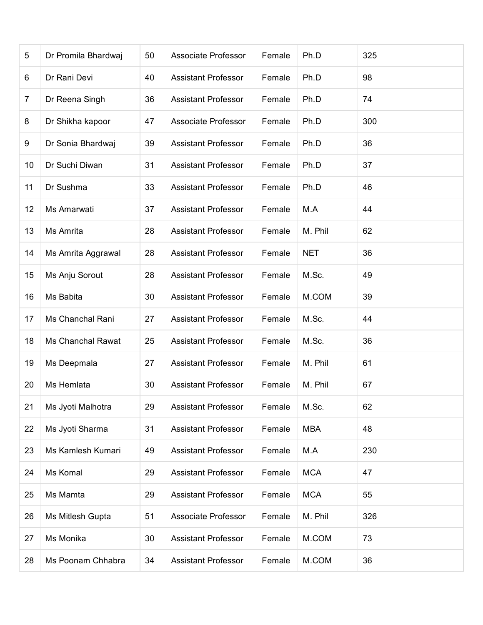| 5              | Dr Promila Bhardwaj      | 50 | Associate Professor        | Female | Ph.D       | 325 |
|----------------|--------------------------|----|----------------------------|--------|------------|-----|
| 6              | Dr Rani Devi             | 40 | <b>Assistant Professor</b> | Female | Ph.D       | 98  |
| $\overline{7}$ | Dr Reena Singh           | 36 | <b>Assistant Professor</b> | Female | Ph.D       | 74  |
| 8              | Dr Shikha kapoor         | 47 | Associate Professor        | Female | Ph.D       | 300 |
| 9              | Dr Sonia Bhardwaj        | 39 | <b>Assistant Professor</b> | Female | Ph.D       | 36  |
| 10             | Dr Suchi Diwan           | 31 | <b>Assistant Professor</b> | Female | Ph.D       | 37  |
| 11             | Dr Sushma                | 33 | <b>Assistant Professor</b> | Female | Ph.D       | 46  |
| 12             | Ms Amarwati              | 37 | <b>Assistant Professor</b> | Female | M.A        | 44  |
| 13             | Ms Amrita                | 28 | <b>Assistant Professor</b> | Female | M. Phil    | 62  |
| 14             | Ms Amrita Aggrawal       | 28 | <b>Assistant Professor</b> | Female | <b>NET</b> | 36  |
| 15             | Ms Anju Sorout           | 28 | <b>Assistant Professor</b> | Female | M.Sc.      | 49  |
| 16             | Ms Babita                | 30 | <b>Assistant Professor</b> | Female | M.COM      | 39  |
| 17             | Ms Chanchal Rani         | 27 | <b>Assistant Professor</b> | Female | M.Sc.      | 44  |
| 18             | <b>Ms Chanchal Rawat</b> | 25 | <b>Assistant Professor</b> | Female | M.Sc.      | 36  |
| 19             | Ms Deepmala              | 27 | <b>Assistant Professor</b> | Female | M. Phil    | 61  |
| 20             | Ms Hemlata               | 30 | <b>Assistant Professor</b> | Female | M. Phil    | 67  |
| 21             | Ms Jyoti Malhotra        | 29 | <b>Assistant Professor</b> | Female | M.Sc.      | 62  |
| 22             | Ms Jyoti Sharma          | 31 | <b>Assistant Professor</b> | Female | <b>MBA</b> | 48  |
| 23             | Ms Kamlesh Kumari        | 49 | <b>Assistant Professor</b> | Female | M.A        | 230 |
| 24             | Ms Komal                 | 29 | <b>Assistant Professor</b> | Female | <b>MCA</b> | 47  |
| 25             | Ms Mamta                 | 29 | <b>Assistant Professor</b> | Female | <b>MCA</b> | 55  |
| 26             | Ms Mitlesh Gupta         | 51 | Associate Professor        | Female | M. Phil    | 326 |
| 27             | Ms Monika                | 30 | <b>Assistant Professor</b> | Female | M.COM      | 73  |
| 28             | Ms Poonam Chhabra        | 34 | <b>Assistant Professor</b> | Female | M.COM      | 36  |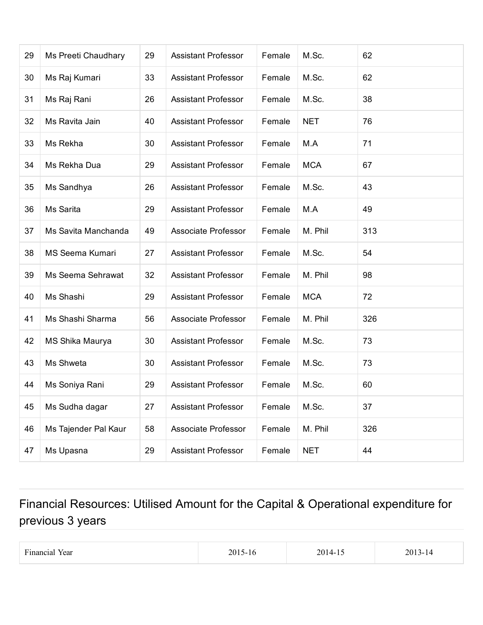| 29 | Ms Preeti Chaudhary    | 29 | <b>Assistant Professor</b> | Female | M.Sc.      | 62  |
|----|------------------------|----|----------------------------|--------|------------|-----|
| 30 | Ms Raj Kumari          | 33 | <b>Assistant Professor</b> | Female | M.Sc.      | 62  |
| 31 | Ms Raj Rani            | 26 | <b>Assistant Professor</b> | Female | M.Sc.      | 38  |
| 32 | Ms Ravita Jain         | 40 | <b>Assistant Professor</b> | Female | <b>NET</b> | 76  |
| 33 | Ms Rekha               | 30 | <b>Assistant Professor</b> | Female | M.A        | 71  |
| 34 | Ms Rekha Dua           | 29 | <b>Assistant Professor</b> | Female | <b>MCA</b> | 67  |
| 35 | Ms Sandhya             | 26 | <b>Assistant Professor</b> | Female | M.Sc.      | 43  |
| 36 | Ms Sarita              | 29 | <b>Assistant Professor</b> | Female | M.A        | 49  |
| 37 | Ms Savita Manchanda    | 49 | Associate Professor        | Female | M. Phil    | 313 |
| 38 | <b>MS Seema Kumari</b> | 27 | <b>Assistant Professor</b> | Female | M.Sc.      | 54  |
| 39 | Ms Seema Sehrawat      | 32 | <b>Assistant Professor</b> | Female | M. Phil    | 98  |
| 40 | Ms Shashi              | 29 | <b>Assistant Professor</b> | Female | <b>MCA</b> | 72  |
| 41 | Ms Shashi Sharma       | 56 | Associate Professor        | Female | M. Phil    | 326 |
| 42 | MS Shika Maurya        | 30 | <b>Assistant Professor</b> | Female | M.Sc.      | 73  |
| 43 | Ms Shweta              | 30 | <b>Assistant Professor</b> | Female | M.Sc.      | 73  |
| 44 | Ms Soniya Rani         | 29 | <b>Assistant Professor</b> | Female | M.Sc.      | 60  |
| 45 | Ms Sudha dagar         | 27 | <b>Assistant Professor</b> | Female | M.Sc.      | 37  |
| 46 | Ms Tajender Pal Kaur   | 58 | Associate Professor        | Female | M. Phil    | 326 |
| 47 | Ms Upasna              | 29 | <b>Assistant Professor</b> | Female | <b>NET</b> | 44  |

# Financial Resources: Utilised Amount for the Capital & Operational expenditure for previous 3 years

| $\overline{\phantom{a}}$<br>Financial Year |  | the contract of the contract of the contract of the contract of the contract of the contract of the contract of | ٠. |
|--------------------------------------------|--|-----------------------------------------------------------------------------------------------------------------|----|
|--------------------------------------------|--|-----------------------------------------------------------------------------------------------------------------|----|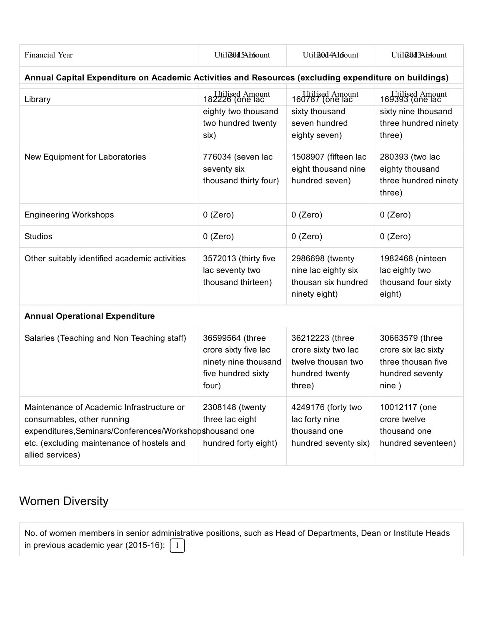| Financial Year                                                                                                                                                                                       | Utili30d5Ah6ount                                                                               | Utili30d4Ah5ount                                                                         | Utili30d3Ah4ount                                                                            |
|------------------------------------------------------------------------------------------------------------------------------------------------------------------------------------------------------|------------------------------------------------------------------------------------------------|------------------------------------------------------------------------------------------|---------------------------------------------------------------------------------------------|
| Annual Capital Expenditure on Academic Activities and Resources (excluding expenditure on buildings)                                                                                                 |                                                                                                |                                                                                          |                                                                                             |
| Library                                                                                                                                                                                              | 182226 (one lac<br>eighty two thousand<br>two hundred twenty<br>six)                           | 160787 (one lac<br>sixty thousand<br>seven hundred<br>eighty seven)                      | Utilised Amount<br>169393 (one lac<br>sixty nine thousand<br>three hundred ninety<br>three) |
| New Equipment for Laboratories                                                                                                                                                                       | 776034 (seven lac<br>seventy six<br>thousand thirty four)                                      | 1508907 (fifteen lac<br>eight thousand nine<br>hundred seven)                            | 280393 (two lac<br>eighty thousand<br>three hundred ninety<br>three)                        |
| <b>Engineering Workshops</b>                                                                                                                                                                         | $0$ (Zero)                                                                                     | $0$ (Zero)                                                                               | $0$ (Zero)                                                                                  |
| <b>Studios</b>                                                                                                                                                                                       | $0$ (Zero)                                                                                     | $0$ (Zero)                                                                               | $0$ (Zero)                                                                                  |
| Other suitably identified academic activities                                                                                                                                                        | 3572013 (thirty five<br>lac seventy two<br>thousand thirteen)                                  | 2986698 (twenty<br>nine lac eighty six<br>thousan six hundred<br>ninety eight)           | 1982468 (ninteen<br>lac eighty two<br>thousand four sixty<br>eight)                         |
| <b>Annual Operational Expenditure</b>                                                                                                                                                                |                                                                                                |                                                                                          |                                                                                             |
| Salaries (Teaching and Non Teaching staff)                                                                                                                                                           | 36599564 (three<br>crore sixty five lac<br>ninety nine thousand<br>five hundred sixty<br>four) | 36212223 (three<br>crore sixty two lac<br>twelve thousan two<br>hundred twenty<br>three) | 30663579 (three<br>crore six lac sixty<br>three thousan five<br>hundred seventy<br>nine)    |
| Maintenance of Academic Infrastructure or<br>consumables, other running<br>expenditures, Seminars/Conferences/Workshopshousand one<br>etc. (excluding maintenance of hostels and<br>allied services) | 2308148 (twenty<br>three lac eight<br>hundred forty eight)                                     | 4249176 (forty two<br>lac forty nine<br>thousand one<br>hundred seventy six)             | 10012117 (one<br>crore twelve<br>thousand one<br>hundred seventeen)                         |

# Women Diversity

|                                                                        | No. of women members in senior administrative positions, such as Head of Departments, Dean or Institute Heads |
|------------------------------------------------------------------------|---------------------------------------------------------------------------------------------------------------|
| in previous academic year (2015-16): $\begin{bmatrix} 1 \end{bmatrix}$ |                                                                                                               |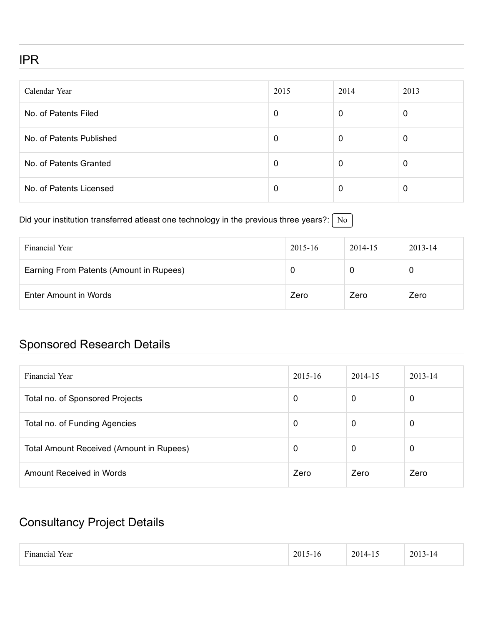#### IPR

| Calendar Year            | 2015 | 2014 | 2013 |
|--------------------------|------|------|------|
| No. of Patents Filed     | 0    | 0    | 0    |
| No. of Patents Published | 0    | 0    | 0    |
| No. of Patents Granted   | 0    | 0    | 0    |
| No. of Patents Licensed  | 0    | 0    | 0    |

#### Did your institution transferred atleast one technology in the previous three years?:  $\boxed{No}$

| Financial Year                          | 2015-16 | 2014-15 | $2013 - 14$ |
|-----------------------------------------|---------|---------|-------------|
| Earning From Patents (Amount in Rupees) |         |         | 0           |
| Enter Amount in Words                   | Zero    | Zero    | Zero        |

## Sponsored Research Details

| Financial Year                           | 2015-16 | 2014-15 | 2013-14 |
|------------------------------------------|---------|---------|---------|
| Total no. of Sponsored Projects          | 0       | 0       | 0       |
| Total no. of Funding Agencies            | 0       | 0       | 0       |
| Total Amount Received (Amount in Rupees) | 0       | 0       | 0       |
| Amount Received in Words                 | Zero    | Zero    | Zero    |

#### Consultancy Project Details

| $ -$<br>$\overline{\phantom{a}}$<br>Year<br>:12 L | 20.<br>۱С. | 201<br>.<br>. | 201<br>$\overline{\phantom{a}}$<br>`-<br>. .<br>$\sim$ $\sim$ $\sim$ |
|---------------------------------------------------|------------|---------------|----------------------------------------------------------------------|
|---------------------------------------------------|------------|---------------|----------------------------------------------------------------------|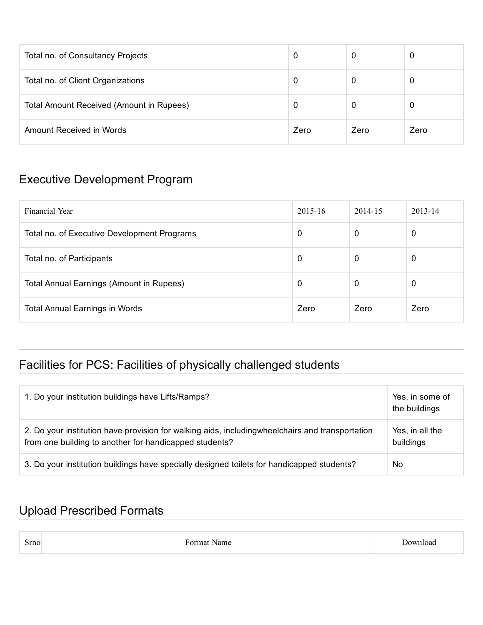| Total no. of Consultancy Projects        | 0    | 0    |      |
|------------------------------------------|------|------|------|
| Total no. of Client Organizations        | 0    | 0    |      |
| Total Amount Received (Amount in Rupees) | 0    | 0    |      |
| Amount Received in Words                 | Zero | Zero | Zero |

#### Executive Development Program

| Financial Year                                  | $2015 - 16$ | 2014-15 | $2013 - 14$ |
|-------------------------------------------------|-------------|---------|-------------|
| Total no. of Executive Development Programs     | 0           | 0       | 0           |
| Total no. of Participants                       | 0           | 0       | 0           |
| <b>Total Annual Earnings (Amount in Rupees)</b> | 0           | 0       | 0           |
| <b>Total Annual Earnings in Words</b>           | Zero        | Zero    | Zero        |

# Facilities for PCS: Facilities of physically challenged students

| 1. Do your institution buildings have Lifts/Ramps?                                                                                                         | Yes, in some of<br>the buildings |
|------------------------------------------------------------------------------------------------------------------------------------------------------------|----------------------------------|
| 2. Do your institution have provision for walking aids, including wheelchairs and transportation<br>from one building to another for handicapped students? | Yes, in all the<br>buildings     |
| 3. Do your institution buildings have specially designed toilets for handicapped students?                                                                 | No                               |

### Upload Prescribed Formats

| Srno | Format Name | Jownload |
|------|-------------|----------|
|------|-------------|----------|